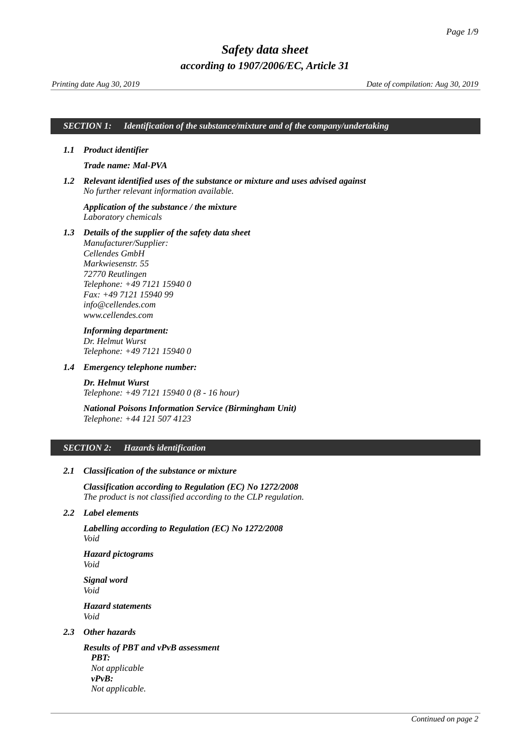### *SECTION 1: Identification of the substance/mixture and of the company/undertaking*

### *1.1 Product identifier*

### <span id="page-0-0"></span>*Trade name: Mal-PVA*

*1.2 Relevant identified uses of the substance or mixture and uses advised against No further relevant information available.*

### *Application of the substance / the mixture Laboratory chemicals*

*1.3 Details of the supplier of the safety data sheet Manufacturer/Supplier: Cellendes GmbH Markwiesenstr. 55 72770 Reutlingen Telephone: +49 7121 15940 0 Fax: +49 7121 15940 99 info@cellendes.com www.cellendes.com*

### *Informing department:*

*Dr. Helmut Wurst Telephone: +49 7121 15940 0*

### *1.4 Emergency telephone number:*

*Dr. Helmut Wurst Telephone: +49 7121 15940 0 (8 - 16 hour)*

### *National Poisons Information Service (Birmingham Unit) Telephone: +44 121 507 4123*

### *SECTION 2: Hazards identification*

### *2.1 Classification of the substance or mixture*

*Classification according to Regulation (EC) No 1272/2008 The product is not classified according to the CLP regulation.*

### *2.2 Label elements*

*Labelling according to Regulation (EC) No 1272/2008 Void*

*Hazard pictograms Void*

*Signal word Void Hazard statements Void*

### *2.3 Other hazards*

*Results of PBT and vPvB assessment PBT: Not applicable vPvB: Not applicable.*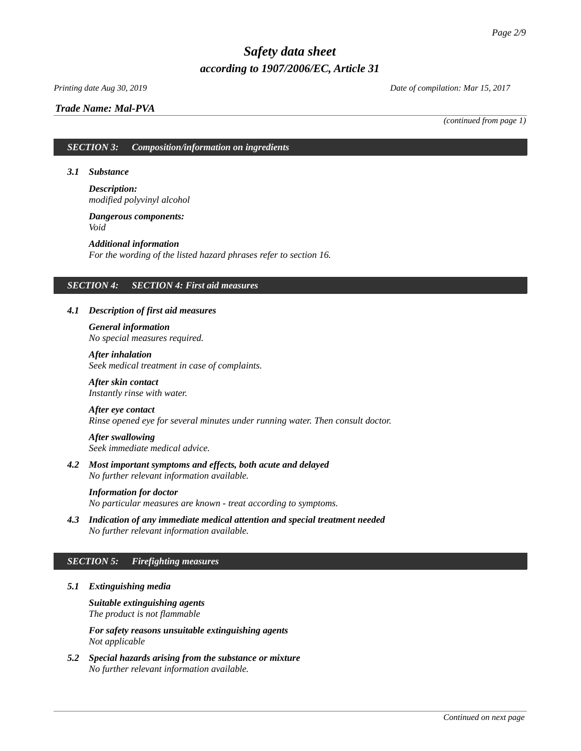### *Printing date Aug 30, 2019 Date of compilation: Mar 15, 2017*

### *Trade Name: [Mal-PVA](#page-0-0)*

*(continued from page 1)*

### *SECTION 3: Composition/information on ingredients*

### *3.1 Substance*

### *Description: modified polyvinyl alcohol*

### *Dangerous components: Void*

### *Additional information For the wording of the listed hazard phrases refer to section 16.*

### *SECTION 4: SECTION 4: First aid measures*

### *4.1 Description of first aid measures*

### *General information No special measures required.*

*After inhalation Seek medical treatment in case of complaints.*

### *After skin contact Instantly rinse with water.*

### *After eye contact*

*Rinse opened eye for several minutes under running water. Then consult doctor.*

### *After swallowing Seek immediate medical advice.*

*4.2 Most important symptoms and effects, both acute and delayed No further relevant information available.*

#### *Information for doctor*

*No particular measures are known - treat according to symptoms.*

*4.3 Indication of any immediate medical attention and special treatment needed No further relevant information available.*

### *SECTION 5: Firefighting measures*

### *5.1 Extinguishing media*

*Suitable extinguishing agents The product is not flammable*

*For safety reasons unsuitable extinguishing agents Not applicable*

*5.2 Special hazards arising from the substance or mixture No further relevant information available.*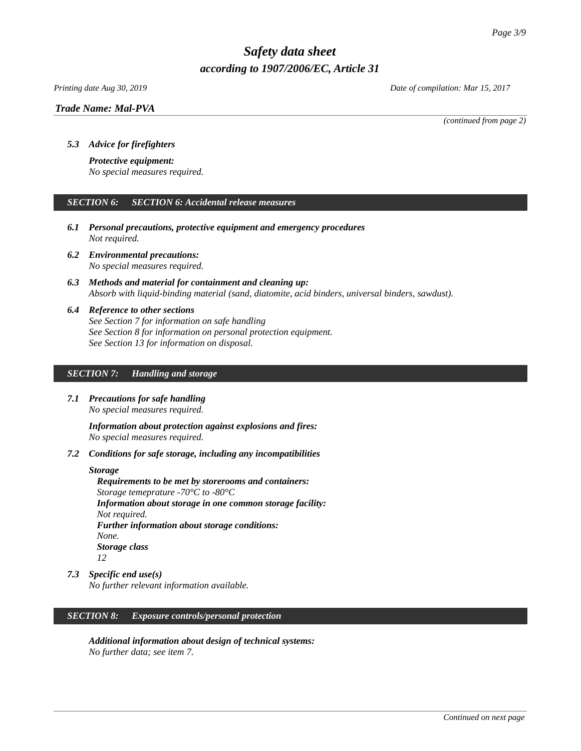### *Printing date Aug 30, 2019 Date of compilation: Mar 15, 2017*

*Trade Name: [Mal-PVA](#page-0-0)*

*(continued from page 2)*

### *5.3 Advice for firefighters*

### *Protective equipment:*

*No special measures required.*

### *SECTION 6: SECTION 6: Accidental release measures*

- *6.1 Personal precautions, protective equipment and emergency procedures Not required.*
- *6.2 Environmental precautions: No special measures required.*
- *6.3 Methods and material for containment and cleaning up: Absorb with liquid-binding material (sand, diatomite, acid binders, universal binders, sawdust).*
- *6.4 Reference to other sections See Section 7 for information on safe handling See Section 8 for information on personal protection equipment. See Section 13 for information on disposal.*

### *SECTION 7: Handling and storage*

*7.1 Precautions for safe handling No special measures required.*

> *Information about protection against explosions and fires: No special measures required.*

*7.2 Conditions for safe storage, including any incompatibilities*

### *Storage*

*Requirements to be met by storerooms and containers: Storage temeprature -70°C to -80°C Information about storage in one common storage facility: Not required. Further information about storage conditions: None. Storage class 12*

*7.3 Specific end use(s)*

*No further relevant information available.*

### *SECTION 8: Exposure controls/personal protection*

*Additional information about design of technical systems: No further data; see item 7.*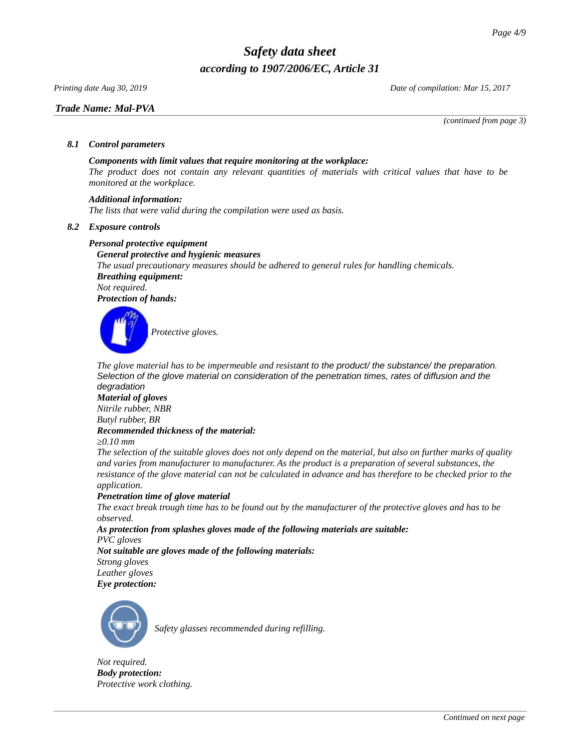*Printing date Aug 30, 2019 Date of compilation: Mar 15, 2017*

### *Trade Name: [Mal-PVA](#page-0-0)*

*(continued from page 3)*

### *8.1 Control parameters*

### *Components with limit values that require monitoring at the workplace:*

*The product does not contain any relevant quantities of materials with critical values that have to be monitored at the workplace.*

### *Additional information:*

*The lists that were valid during the compilation were used as basis.*

### *8.2 Exposure controls*

### *Personal protective equipment*

*General protective and hygienic measures The usual precautionary measures should be adhered to general rules for handling chemicals. Breathing equipment: Not required.*

*Protection of hands:*



*The glove material has to be impermeable and resistant to the product/ the substance/ the preparation. Selection of the glove material on consideration of the penetration times, rates of diffusion and the degradation*

#### *Material of gloves*

*Nitrile rubber, NBR Butyl rubber, BR*

### *Recommended thickness of the material:*

*≥0.10 mm*

*The selection of the suitable gloves does not only depend on the material, but also on further marks of quality and varies from manufacturer to manufacturer. As the product is a preparation of several substances, the resistance of the glove material can not be calculated in advance and has therefore to be checked prior to the application.*

### *Penetration time of glove material*

*The exact break trough time has to be found out by the manufacturer of the protective gloves and has to be observed.*

*As protection from splashes gloves made of the following materials are suitable:*

*PVC gloves*

*Not suitable are gloves made of the following materials: Strong gloves Leather gloves*





*Safety glasses recommended during refilling.*

*Not required. Body protection: Protective work clothing.*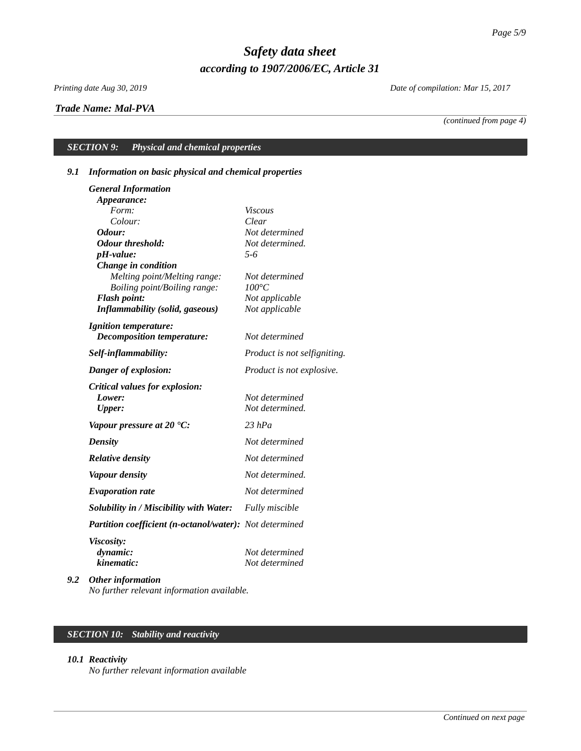### *Trade Name: [Mal-PVA](#page-0-0)*

*Printing date Aug 30, 2019 Date of compilation: Mar 15, 2017*

*(continued from page 4)*

## *SECTION 9: Physical and chemical properties*

### *9.1 Information on basic physical and chemical properties*

|     | <b>General Information</b>                                    |                                  |
|-----|---------------------------------------------------------------|----------------------------------|
|     | Appearance:                                                   |                                  |
|     | Form:                                                         | <b>Viscous</b>                   |
|     | Colour:                                                       | Clear                            |
|     | Odour:                                                        | Not determined                   |
|     | <b>Odour threshold:</b>                                       | Not determined.                  |
|     | pH-value:                                                     | $5 - 6$                          |
|     | Change in condition                                           |                                  |
|     | Melting point/Melting range:                                  | Not determined                   |
|     | Boiling point/Boiling range:                                  | $100^{\circ}C$                   |
|     | <b>Flash point:</b><br><b>Inflammability (solid, gaseous)</b> | Not applicable<br>Not applicable |
|     |                                                               |                                  |
|     | <b>Ignition temperature:</b>                                  |                                  |
|     | <b>Decomposition temperature:</b>                             | Not determined                   |
|     | Self-inflammability:                                          | Product is not selfigniting.     |
|     | Danger of explosion:                                          | Product is not explosive.        |
|     | <b>Critical values for explosion:</b>                         |                                  |
|     | Lower:                                                        | Not determined                   |
|     | <b>Upper:</b>                                                 | Not determined.                  |
|     | Vapour pressure at 20 $^{\circ}$ C:                           | $23$ $hPa$                       |
|     | <b>Density</b>                                                | Not determined                   |
|     | <b>Relative density</b>                                       | Not determined                   |
|     | <b>Vapour density</b>                                         | Not determined.                  |
|     | <b>Evaporation rate</b>                                       | Not determined                   |
|     | Solubility in / Miscibility with Water:                       | Fully miscible                   |
|     | Partition coefficient (n-octanol/water): Not determined       |                                  |
|     | <b>Viscosity:</b>                                             |                                  |
|     | dynamic:                                                      | Not determined                   |
|     | kinematic:                                                    | Not determined                   |
| 9.2 | <b>Other information</b>                                      |                                  |

*No further relevant information available.*

### *SECTION 10: Stability and reactivity*

### *10.1 Reactivity*

*No further relevant information available*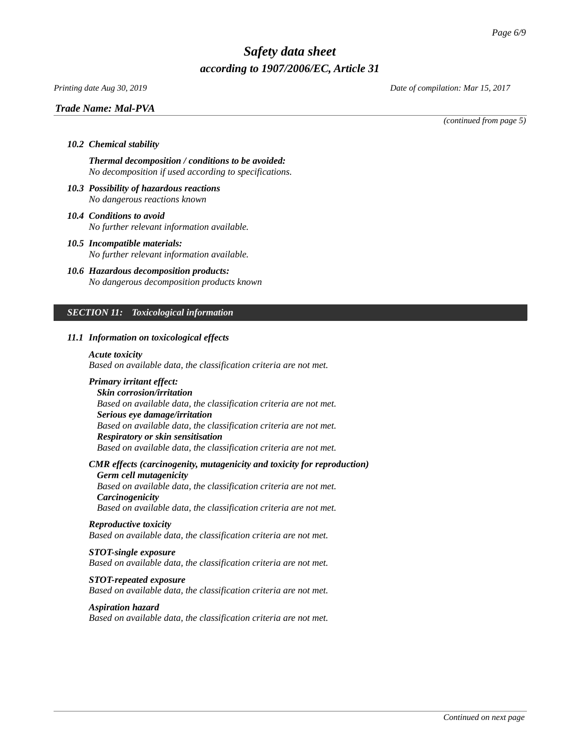### *Printing date Aug 30, 2019 Date of compilation: Mar 15, 2017*

### *Trade Name: [Mal-PVA](#page-0-0)*

*(continued from page 5)*

## *10.2 Chemical stability*

*Thermal decomposition / conditions to be avoided: No decomposition if used according to specifications.*

- *10.3 Possibility of hazardous reactions No dangerous reactions known*
- *10.4 Conditions to avoid No further relevant information available.*
- *10.5 Incompatible materials: No further relevant information available.*
- *10.6 Hazardous decomposition products: No dangerous decomposition products known*

### *SECTION 11: Toxicological information*

### *11.1 Information on toxicological effects*

*Acute toxicity*

*Based on available data, the classification criteria are not met.*

### *Primary irritant effect:*

*Skin corrosion/irritation Based on available data, the classification criteria are not met. Serious eye damage/irritation Based on available data, the classification criteria are not met. Respiratory or skin sensitisation Based on available data, the classification criteria are not met.*

### *CMR effects (carcinogenity, mutagenicity and toxicity for reproduction)*

*Germ cell mutagenicity Based on available data, the classification criteria are not met. Carcinogenicity Based on available data, the classification criteria are not met.*

### *Reproductive toxicity*

*Based on available data, the classification criteria are not met.*

### *STOT-single exposure*

*Based on available data, the classification criteria are not met.*

### *STOT-repeated exposure*

*Based on available data, the classification criteria are not met.*

### *Aspiration hazard*

*Based on available data, the classification criteria are not met.*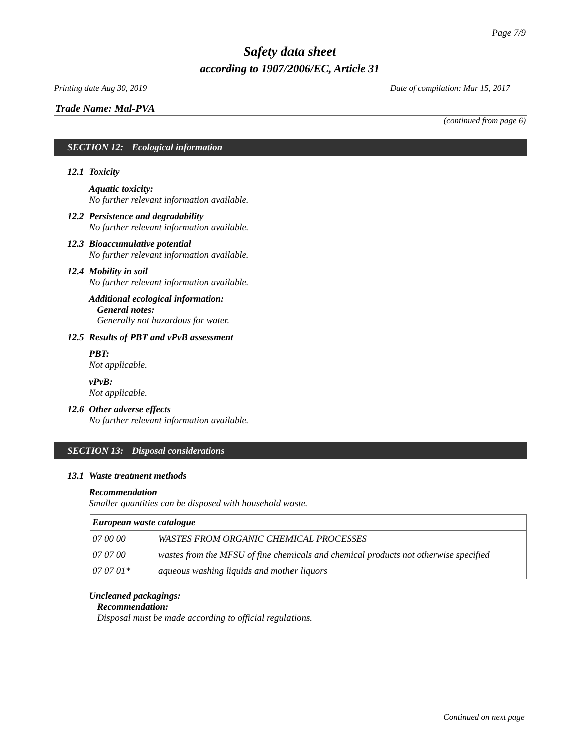# *Trade Name: [Mal-PVA](#page-0-0)*

*Printing date Aug 30, 2019 Date of compilation: Mar 15, 2017*

*(continued from page 6)*

### *SECTION 12: Ecological information*

### *12.1 Toxicity*

*Aquatic toxicity: No further relevant information available.*

- *12.2 Persistence and degradability No further relevant information available.*
- *12.3 Bioaccumulative potential No further relevant information available.*

### *12.4 Mobility in soil*

*No further relevant information available.*

### *Additional ecological information: General notes: Generally not hazardous for water.*

### *12.5 Results of PBT and vPvB assessment*

*PBT: Not applicable.*

*vPvB: Not applicable.*

### *12.6 Other adverse effects*

*No further relevant information available.*

### *SECTION 13: Disposal considerations*

### *13.1 Waste treatment methods*

#### *Recommendation*

*Smaller quantities can be disposed with household waste.*

| European waste catalogue |                                                                                      |  |
|--------------------------|--------------------------------------------------------------------------------------|--|
| <i>07 00 00</i>          | WASTES FROM ORGANIC CHEMICAL PROCESSES                                               |  |
| 07 07 00                 | wastes from the MFSU of fine chemicals and chemical products not otherwise specified |  |
| $070701*$                | aqueous washing liquids and mother liquors                                           |  |

## *Uncleaned packagings:*

### *Recommendation:*

*Disposal must be made according to official regulations.*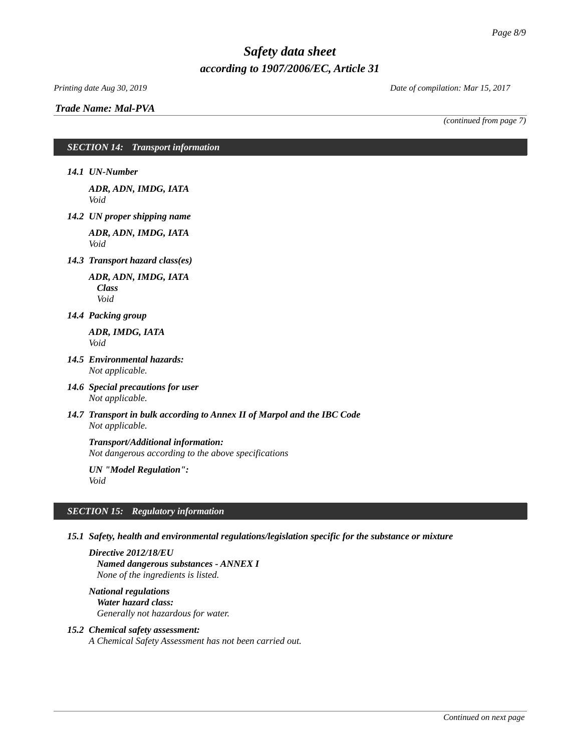### *Printing date Aug 30, 2019 Date of compilation: Mar 15, 2017*

*Trade Name: [Mal-PVA](#page-0-0)*

*(continued from page 7)*

### *SECTION 14: Transport information*

*14.1 UN-Number*

*ADR, ADN, IMDG, IATA Void*

*14.2 UN proper shipping name*

*ADR, ADN, IMDG, IATA Void*

*14.3 Transport hazard class(es)*

*ADR, ADN, IMDG, IATA Class Void*

*14.4 Packing group*

*ADR, IMDG, IATA Void*

- *14.5 Environmental hazards: Not applicable.*
- *14.6 Special precautions for user Not applicable.*
- *14.7 Transport in bulk according to Annex II of Marpol and the IBC Code Not applicable.*

### *Transport/Additional information:*

*Not dangerous according to the above specifications*

*UN "Model Regulation": Void*

### *SECTION 15: Regulatory information*

*15.1 Safety, health and environmental regulations/legislation specific for the substance or mixture*

*Directive 2012/18/EU Named dangerous substances - ANNEX I None of the ingredients is listed.*

*National regulations Water hazard class: Generally not hazardous for water.*

### *15.2 Chemical safety assessment:*

*A Chemical Safety Assessment has not been carried out.*